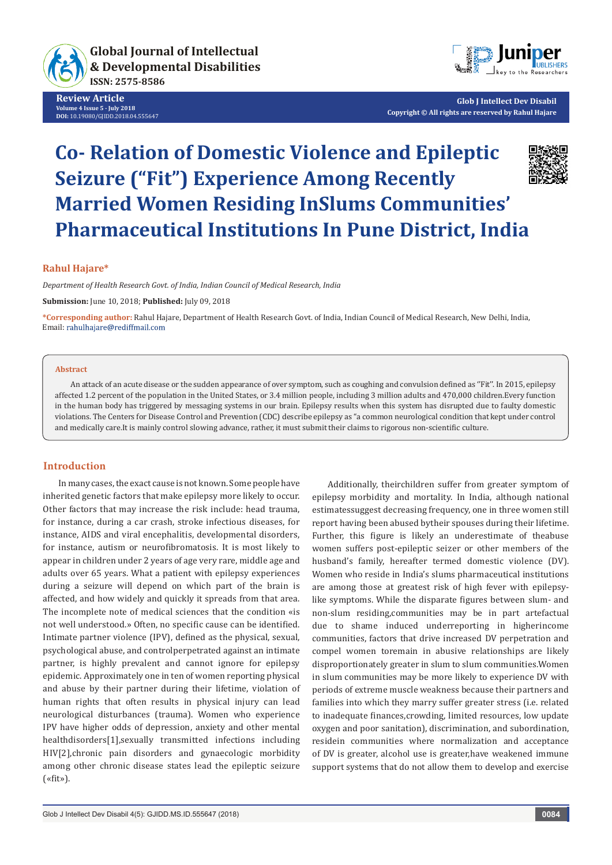

**Review Article Volume 4 Issue 5 - July 2018 DOI:** [10.19080/GJIDD.2018.04.555647](http://dx.doi.org/10.19080/GJIDD.2018.04.555647)



**Glob J Intellect Dev Disabil Copyright © All rights are reserved by Rahul Hajare**

# **Co- Relation of Domestic Violence and Epileptic Seizure ("Fit") Experience Among Recently Married Women Residing InSlums Communities' Pharmaceutical Institutions In Pune District, India**



*Department of Health Research Govt. of India, Indian Council of Medical Research, India*

**Submission:** June 10, 2018; **Published:** July 09, 2018

**\*Corresponding author:** Rahul Hajare, Department of Health Research Govt. of India, Indian Council of Medical Research, New Delhi, India, Email: rahulhajare@rediffmail.com

#### **Abstract**

An attack of an acute disease or the sudden appearance of over symptom, such as coughing and convulsion defined as ''Fit''. In 2015, epilepsy affected 1.2 percent of the population in the United States, or 3.4 million people, including 3 million adults and 470,000 children.Every function in the human body has triggered by messaging systems in our brain. Epilepsy results when this system has disrupted due to faulty domestic violations. The Centers for Disease Control and Prevention (CDC) describe epilepsy as "a common neurological condition that kept under control and medically care.It is mainly control slowing advance, rather, it must submit their claims to rigorous non-scientific culture.

# **Introduction**

In many cases, the exact cause is not known. Some people have inherited genetic factors that make epilepsy more likely to occur. Other factors that may increase the risk include: head trauma, for instance, during a car crash, stroke infectious diseases, for instance, AIDS and viral encephalitis, developmental disorders, for instance, autism or neurofibromatosis. It is most likely to appear in children under 2 years of age very rare, middle age and adults over 65 years. What a patient with epilepsy experiences during a seizure will depend on which part of the brain is affected, and how widely and quickly it spreads from that area. The incomplete note of medical sciences that the condition «is not well understood.» Often, no specific cause can be identified. Intimate partner violence (IPV), defined as the physical, sexual, psychological abuse, and controlperpetrated against an intimate partner, is highly prevalent and cannot ignore for epilepsy epidemic. Approximately one in ten of women reporting physical and abuse by their partner during their lifetime, violation of human rights that often results in physical injury can lead neurological disturbances (trauma). Women who experience IPV have higher odds of depression, anxiety and other mental healthdisorders[1],sexually transmitted infections including HIV[2],chronic pain disorders and gynaecologic morbidity among other chronic disease states lead the epileptic seizure («fit»).

Additionally, theirchildren suffer from greater symptom of epilepsy morbidity and mortality. In India, although national estimatessuggest decreasing frequency, one in three women still report having been abused bytheir spouses during their lifetime. Further, this figure is likely an underestimate of theabuse women suffers post-epileptic seizer or other members of the husband's family, hereafter termed domestic violence (DV). Women who reside in India's slums pharmaceutical institutions are among those at greatest risk of high fever with epilepsylike symptoms. While the disparate figures between slum- and non-slum residing,communities may be in part artefactual due to shame induced underreporting in higherincome communities, factors that drive increased DV perpetration and compel women toremain in abusive relationships are likely disproportionately greater in slum to slum communities.Women in slum communities may be more likely to experience DV with periods of extreme muscle weakness because their partners and families into which they marry suffer greater stress (i.e. related to inadequate finances,crowding, limited resources, low update oxygen and poor sanitation), discrimination, and subordination, residein communities where normalization and acceptance of DV is greater, alcohol use is greater,have weakened immune support systems that do not allow them to develop and exercise